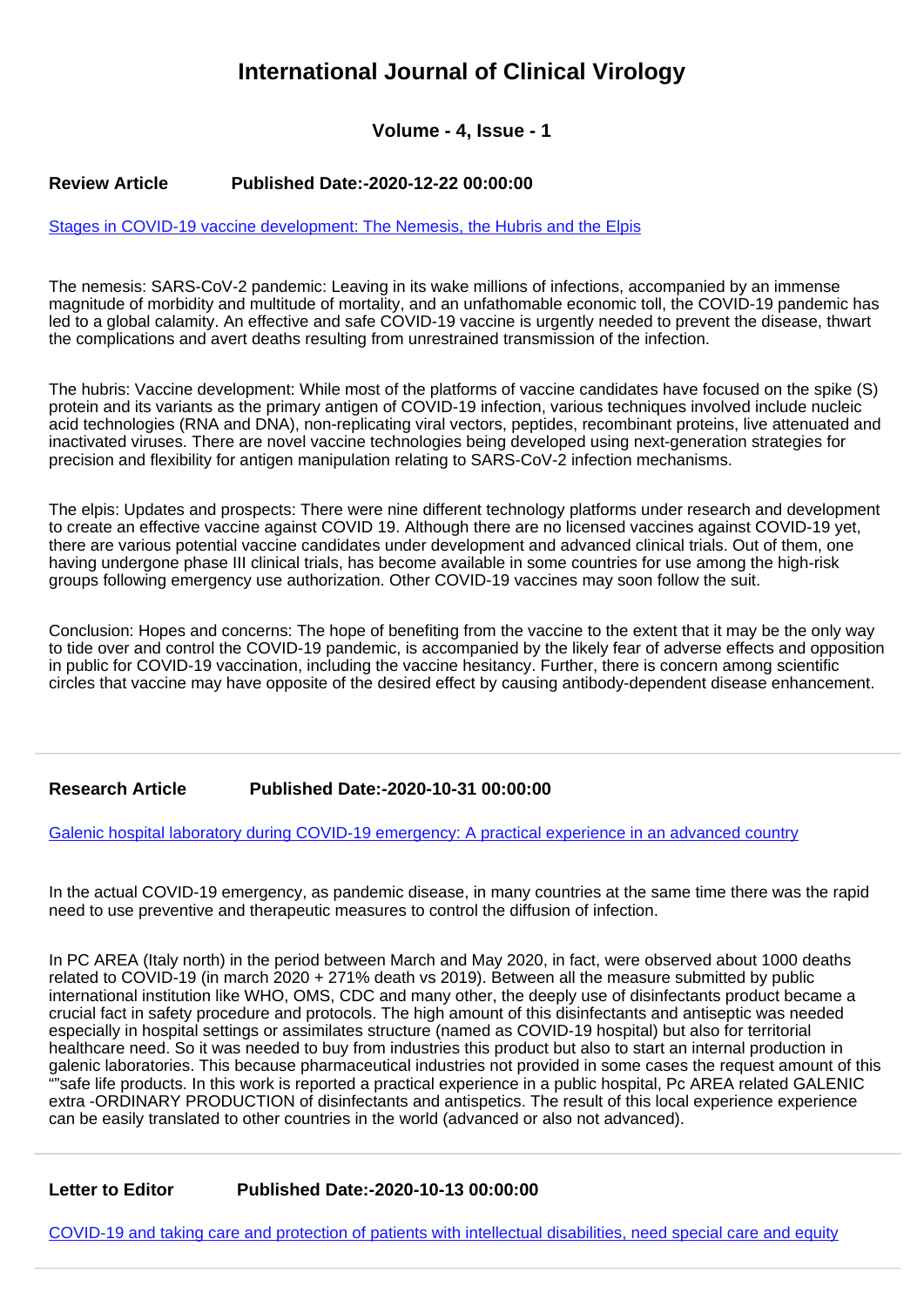# **International Journal of Clinical Virology**

# **Volume - 4, Issue - 1**

## **Review Article Published Date:-2020-12-22 00:00:00**

#### [Stages in COVID-19 vaccine development: The Nemesis, the Hubris and the Elpis](https://www.clinvirologyjournal.com/articles/ijcv-aid1028.pdf)

The nemesis: SARS-CoV-2 pandemic: Leaving in its wake millions of infections, accompanied by an immense magnitude of morbidity and multitude of mortality, and an unfathomable economic toll, the COVID-19 pandemic has led to a global calamity. An effective and safe COVID-19 vaccine is urgently needed to prevent the disease, thwart the complications and avert deaths resulting from unrestrained transmission of the infection.

The hubris: Vaccine development: While most of the platforms of vaccine candidates have focused on the spike (S) protein and its variants as the primary antigen of COVID-19 infection, various techniques involved include nucleic acid technologies (RNA and DNA), non-replicating viral vectors, peptides, recombinant proteins, live attenuated and inactivated viruses. There are novel vaccine technologies being developed using next-generation strategies for precision and flexibility for antigen manipulation relating to SARS-CoV-2 infection mechanisms.

The elpis: Updates and prospects: There were nine different technology platforms under research and development to create an effective vaccine against COVID 19. Although there are no licensed vaccines against COVID-19 yet, there are various potential vaccine candidates under development and advanced clinical trials. Out of them, one having undergone phase III clinical trials, has become available in some countries for use among the high-risk groups following emergency use authorization. Other COVID-19 vaccines may soon follow the suit.

Conclusion: Hopes and concerns: The hope of benefiting from the vaccine to the extent that it may be the only way to tide over and control the COVID-19 pandemic, is accompanied by the likely fear of adverse effects and opposition in public for COVID-19 vaccination, including the vaccine hesitancy. Further, there is concern among scientific circles that vaccine may have opposite of the desired effect by causing antibody-dependent disease enhancement.

## **Research Article Published Date:-2020-10-31 00:00:00**

[Galenic hospital laboratory during COVID-19 emergency: A practical experience in an advanced country](https://www.clinvirologyjournal.com/articles/ijcv-aid1027.pdf)

In the actual COVID-19 emergency, as pandemic disease, in many countries at the same time there was the rapid need to use preventive and therapeutic measures to control the diffusion of infection.

In PC AREA (Italy north) in the period between March and May 2020, in fact, were observed about 1000 deaths related to COVID-19 (in march 2020 + 271% death vs 2019). Between all the measure submitted by public international institution like WHO, OMS, CDC and many other, the deeply use of disinfectants product became a crucial fact in safety procedure and protocols. The high amount of this disinfectants and antiseptic was needed especially in hospital settings or assimilates structure (named as COVID-19 hospital) but also for territorial healthcare need. So it was needed to buy from industries this product but also to start an internal production in galenic laboratories. This because pharmaceutical industries not provided in some cases the request amount of this ""safe life products. In this work is reported a practical experience in a public hospital, Pc AREA related GALENIC extra -ORDINARY PRODUCTION of disinfectants and antispetics. The result of this local experience experience can be easily translated to other countries in the world (advanced or also not advanced).

**Letter to Editor Published Date:-2020-10-13 00:00:00**

[COVID-19 and taking care and protection of patients with intellectual disabilities, need special care and equity](https://www.clinvirologyjournal.com/articles/ijcv-aid1026.pdf)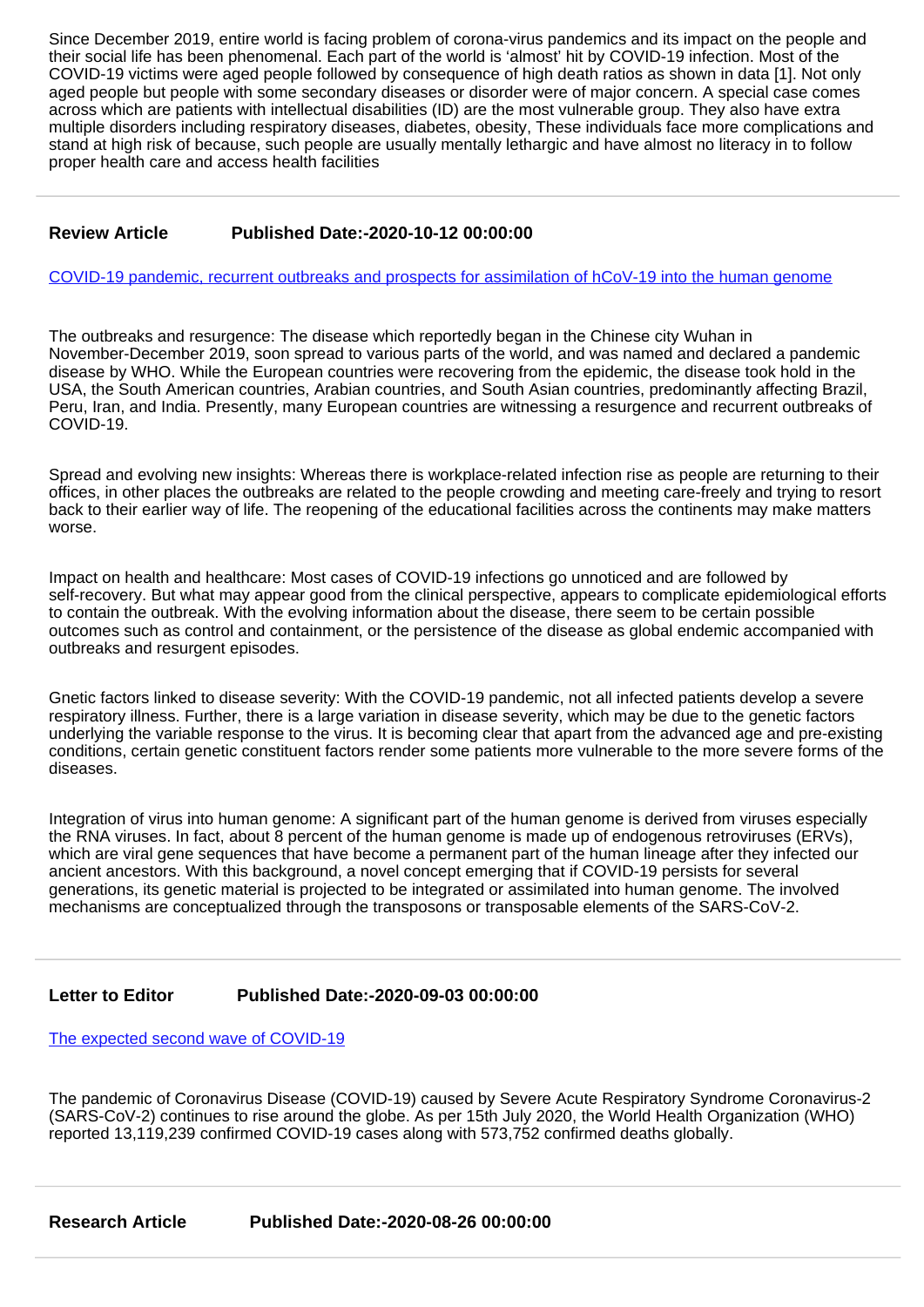Since December 2019, entire world is facing problem of corona-virus pandemics and its impact on the people and their social life has been phenomenal. Each part of the world is 'almost' hit by COVID-19 infection. Most of the COVID-19 victims were aged people followed by consequence of high death ratios as shown in data [1]. Not only aged people but people with some secondary diseases or disorder were of major concern. A special case comes across which are patients with intellectual disabilities (ID) are the most vulnerable group. They also have extra multiple disorders including respiratory diseases, diabetes, obesity, These individuals face more complications and stand at high risk of because, such people are usually mentally lethargic and have almost no literacy in to follow proper health care and access health facilities

## **Review Article Published Date:-2020-10-12 00:00:00**

[COVID-19 pandemic, recurrent outbreaks and prospects for assimilation of hCoV-19 into the human genome](https://www.clinvirologyjournal.com/articles/ijcv-aid1025.pdf)

The outbreaks and resurgence: The disease which reportedly began in the Chinese city Wuhan in November-December 2019, soon spread to various parts of the world, and was named and declared a pandemic disease by WHO. While the European countries were recovering from the epidemic, the disease took hold in the USA, the South American countries, Arabian countries, and South Asian countries, predominantly affecting Brazil, Peru, Iran, and India. Presently, many European countries are witnessing a resurgence and recurrent outbreaks of COVID-19.

Spread and evolving new insights: Whereas there is workplace-related infection rise as people are returning to their offices, in other places the outbreaks are related to the people crowding and meeting care-freely and trying to resort back to their earlier way of life. The reopening of the educational facilities across the continents may make matters worse.

Impact on health and healthcare: Most cases of COVID-19 infections go unnoticed and are followed by self-recovery. But what may appear good from the clinical perspective, appears to complicate epidemiological efforts to contain the outbreak. With the evolving information about the disease, there seem to be certain possible outcomes such as control and containment, or the persistence of the disease as global endemic accompanied with outbreaks and resurgent episodes.

Gnetic factors linked to disease severity: With the COVID-19 pandemic, not all infected patients develop a severe respiratory illness. Further, there is a large variation in disease severity, which may be due to the genetic factors underlying the variable response to the virus. It is becoming clear that apart from the advanced age and pre-existing conditions, certain genetic constituent factors render some patients more vulnerable to the more severe forms of the diseases.

Integration of virus into human genome: A significant part of the human genome is derived from viruses especially the RNA viruses. In fact, about 8 percent of the human genome is made up of endogenous retroviruses (ERVs), which are viral gene sequences that have become a permanent part of the human lineage after they infected our ancient ancestors. With this background, a novel concept emerging that if COVID-19 persists for several generations, its genetic material is projected to be integrated or assimilated into human genome. The involved mechanisms are conceptualized through the transposons or transposable elements of the SARS-CoV-2.

## **Letter to Editor Published Date:-2020-09-03 00:00:00**

[The expected second wave of COVID-19](https://www.clinvirologyjournal.com/articles/ijcv-aid1024.pdf)

The pandemic of Coronavirus Disease (COVID-19) caused by Severe Acute Respiratory Syndrome Coronavirus-2 (SARS-CoV-2) continues to rise around the globe. As per 15th July 2020, the World Health Organization (WHO) reported 13,119,239 confirmed COVID-19 cases along with 573,752 confirmed deaths globally.

**Research Article Published Date:-2020-08-26 00:00:00**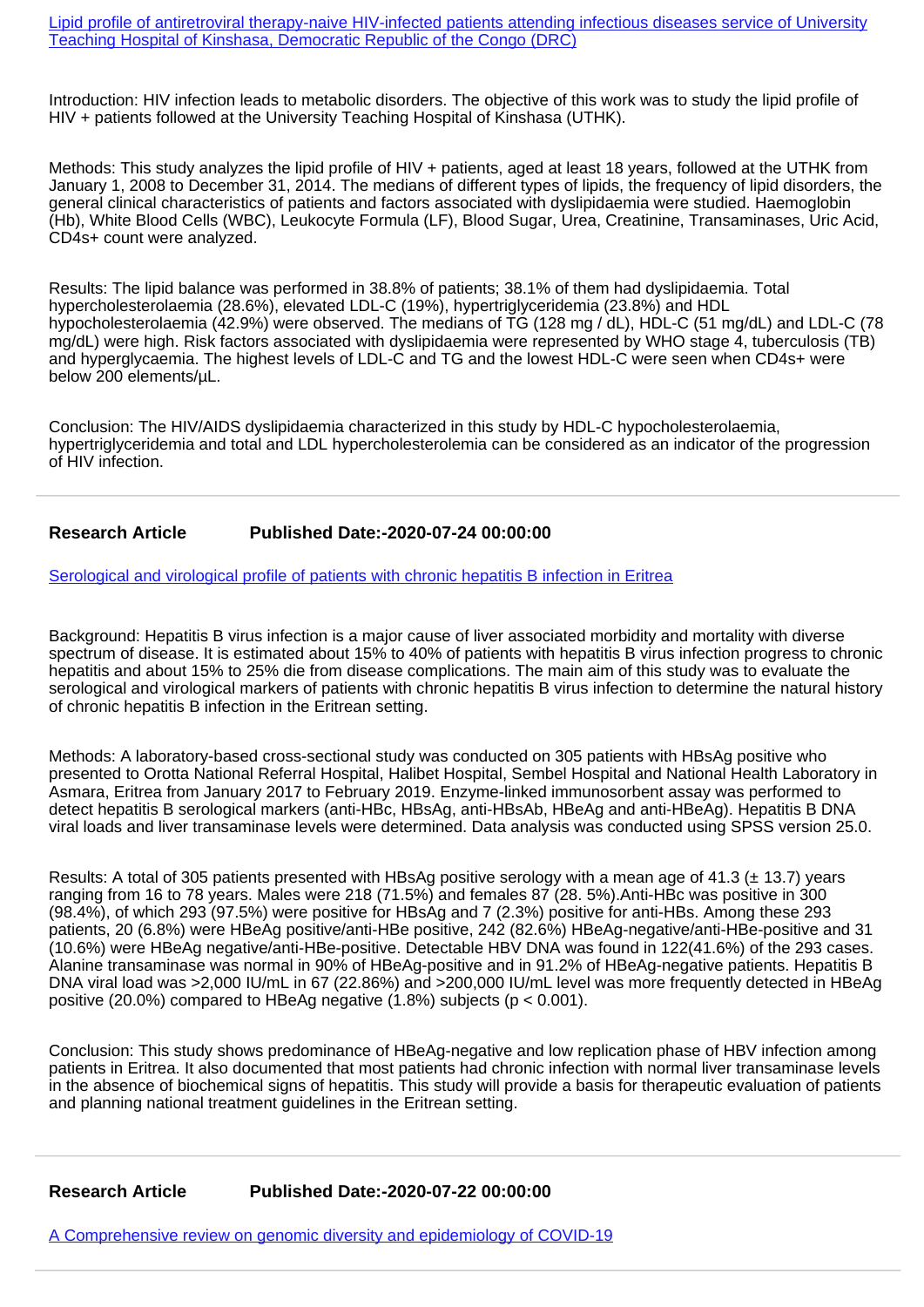[Lipid profile of antiretroviral therapy-naive HIV-infected patients attending infectious diseases service of University](https://www.clinvirologyjournal.com/articles/ijcv-aid1023.pdf) [Teaching Hospital of Kinshasa, Democratic Republic of the Congo \(DRC\)](https://www.clinvirologyjournal.com/articles/ijcv-aid1023.pdf)

Introduction: HIV infection leads to metabolic disorders. The objective of this work was to study the lipid profile of HIV + patients followed at the University Teaching Hospital of Kinshasa (UTHK).

Methods: This study analyzes the lipid profile of HIV + patients, aged at least 18 years, followed at the UTHK from January 1, 2008 to December 31, 2014. The medians of different types of lipids, the frequency of lipid disorders, the general clinical characteristics of patients and factors associated with dyslipidaemia were studied. Haemoglobin (Hb), White Blood Cells (WBC), Leukocyte Formula (LF), Blood Sugar, Urea, Creatinine, Transaminases, Uric Acid, CD4s+ count were analyzed.

Results: The lipid balance was performed in 38.8% of patients; 38.1% of them had dyslipidaemia. Total hypercholesterolaemia (28.6%), elevated LDL-C (19%), hypertriglyceridemia (23.8%) and HDL hypocholesterolaemia (42.9%) were observed. The medians of TG (128 mg / dL), HDL-C (51 mg/dL) and LDL-C (78 mg/dL) were high. Risk factors associated with dyslipidaemia were represented by WHO stage 4, tuberculosis (TB) and hyperglycaemia. The highest levels of LDL-C and TG and the lowest HDL-C were seen when CD4s+ were below 200 elements/µL.

Conclusion: The HIV/AIDS dyslipidaemia characterized in this study by HDL-C hypocholesterolaemia, hypertriglyceridemia and total and LDL hypercholesterolemia can be considered as an indicator of the progression of HIV infection.

## **Research Article Published Date:-2020-07-24 00:00:00**

#### [Serological and virological profile of patients with chronic hepatitis B infection in Eritrea](https://www.clinvirologyjournal.com/articles/ijcv-aid1022.pdf)

Background: Hepatitis B virus infection is a major cause of liver associated morbidity and mortality with diverse spectrum of disease. It is estimated about 15% to 40% of patients with hepatitis B virus infection progress to chronic hepatitis and about 15% to 25% die from disease complications. The main aim of this study was to evaluate the serological and virological markers of patients with chronic hepatitis B virus infection to determine the natural history of chronic hepatitis B infection in the Eritrean setting.

Methods: A laboratory-based cross-sectional study was conducted on 305 patients with HBsAg positive who presented to Orotta National Referral Hospital, Halibet Hospital, Sembel Hospital and National Health Laboratory in Asmara, Eritrea from January 2017 to February 2019. Enzyme-linked immunosorbent assay was performed to detect hepatitis B serological markers (anti-HBc, HBsAg, anti-HBsAb, HBeAg and anti-HBeAg). Hepatitis B DNA viral loads and liver transaminase levels were determined. Data analysis was conducted using SPSS version 25.0.

Results: A total of 305 patients presented with HBsAg positive serology with a mean age of 41.3 ( $\pm$  13.7) years ranging from 16 to 78 years. Males were 218 (71.5%) and females 87 (28. 5%). Anti-HBc was positive in 300 (98.4%), of which 293 (97.5%) were positive for HBsAg and 7 (2.3%) positive for anti-HBs. Among these 293 patients, 20 (6.8%) were HBeAg positive/anti-HBe positive, 242 (82.6%) HBeAg-negative/anti-HBe-positive and 31 (10.6%) were HBeAg negative/anti-HBe-positive. Detectable HBV DNA was found in 122(41.6%) of the 293 cases. Alanine transaminase was normal in 90% of HBeAg-positive and in 91.2% of HBeAg-negative patients. Hepatitis B DNA viral load was >2,000 IU/mL in 67 (22.86%) and >200,000 IU/mL level was more frequently detected in HBeAg positive (20.0%) compared to HBeAg negative  $(1.8\%)$  subjects (p < 0.001).

Conclusion: This study shows predominance of HBeAg-negative and low replication phase of HBV infection among patients in Eritrea. It also documented that most patients had chronic infection with normal liver transaminase levels in the absence of biochemical signs of hepatitis. This study will provide a basis for therapeutic evaluation of patients and planning national treatment guidelines in the Eritrean setting.

**Research Article Published Date:-2020-07-22 00:00:00**

[A Comprehensive review on genomic diversity and epidemiology of COVID-19](https://www.clinvirologyjournal.com/articles/ijcv-aid1021.pdf)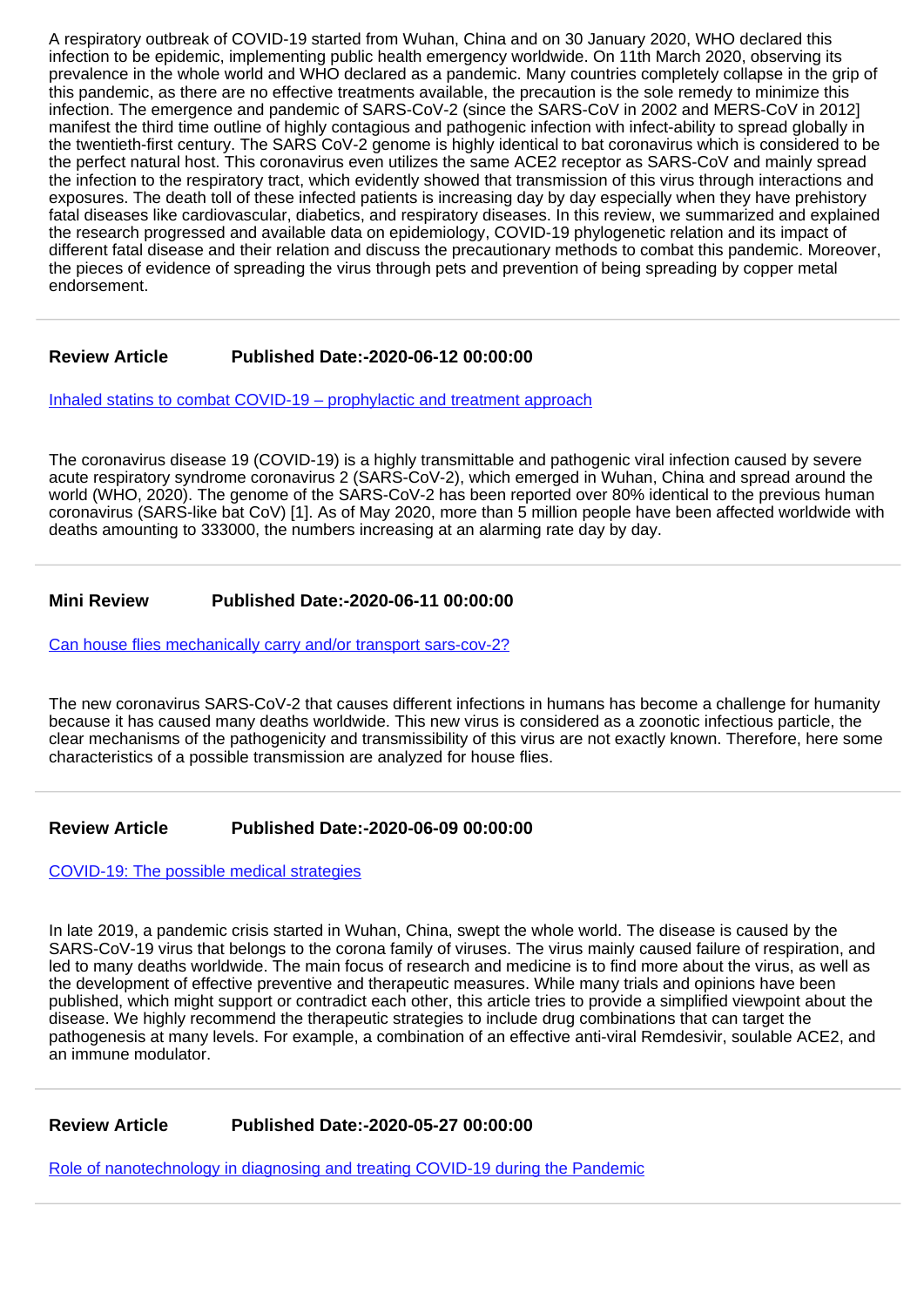A respiratory outbreak of COVID-19 started from Wuhan, China and on 30 January 2020, WHO declared this infection to be epidemic, implementing public health emergency worldwide. On 11th March 2020, observing its prevalence in the whole world and WHO declared as a pandemic. Many countries completely collapse in the grip of this pandemic, as there are no effective treatments available, the precaution is the sole remedy to minimize this infection. The emergence and pandemic of SARS-CoV-2 (since the SARS-CoV in 2002 and MERS-CoV in 2012] manifest the third time outline of highly contagious and pathogenic infection with infect-ability to spread globally in the twentieth-first century. The SARS CoV-2 genome is highly identical to bat coronavirus which is considered to be the perfect natural host. This coronavirus even utilizes the same ACE2 receptor as SARS-CoV and mainly spread the infection to the respiratory tract, which evidently showed that transmission of this virus through interactions and exposures. The death toll of these infected patients is increasing day by day especially when they have prehistory fatal diseases like cardiovascular, diabetics, and respiratory diseases. In this review, we summarized and explained the research progressed and available data on epidemiology, COVID-19 phylogenetic relation and its impact of different fatal disease and their relation and discuss the precautionary methods to combat this pandemic. Moreover, the pieces of evidence of spreading the virus through pets and prevention of being spreading by copper metal endorsement.

## **Review Article Published Date:-2020-06-12 00:00:00**

[Inhaled statins to combat COVID-19 – prophylactic and treatment approach](https://www.clinvirologyjournal.com/articles/ijcv-aid1020.pdf)

The coronavirus disease 19 (COVID-19) is a highly transmittable and pathogenic viral infection caused by severe acute respiratory syndrome coronavirus 2 (SARS-CoV-2), which emerged in Wuhan, China and spread around the world (WHO, 2020). The genome of the SARS-CoV-2 has been reported over 80% identical to the previous human coronavirus (SARS-like bat CoV) [1]. As of May 2020, more than 5 million people have been affected worldwide with deaths amounting to 333000, the numbers increasing at an alarming rate day by day.

## **Mini Review Published Date:-2020-06-11 00:00:00**

[Can house flies mechanically carry and/or transport sars-cov-2?](https://www.clinvirologyjournal.com/articles/ijcv-aid1019.pdf)

The new coronavirus SARS-CoV-2 that causes different infections in humans has become a challenge for humanity because it has caused many deaths worldwide. This new virus is considered as a zoonotic infectious particle, the clear mechanisms of the pathogenicity and transmissibility of this virus are not exactly known. Therefore, here some characteristics of a possible transmission are analyzed for house flies.

#### **Review Article Published Date:-2020-06-09 00:00:00**

[COVID-19: The possible medical strategies](https://www.clinvirologyjournal.com/articles/ijcv-aid1018.pdf)

In late 2019, a pandemic crisis started in Wuhan, China, swept the whole world. The disease is caused by the SARS-CoV-19 virus that belongs to the corona family of viruses. The virus mainly caused failure of respiration, and led to many deaths worldwide. The main focus of research and medicine is to find more about the virus, as well as the development of effective preventive and therapeutic measures. While many trials and opinions have been published, which might support or contradict each other, this article tries to provide a simplified viewpoint about the disease. We highly recommend the therapeutic strategies to include drug combinations that can target the pathogenesis at many levels. For example, a combination of an effective anti-viral Remdesivir, soulable ACE2, and an immune modulator.

**Review Article Published Date:-2020-05-27 00:00:00**

[Role of nanotechnology in diagnosing and treating COVID-19 during the Pandemic](https://www.clinvirologyjournal.com/articles/ijcv-aid1017.pdf)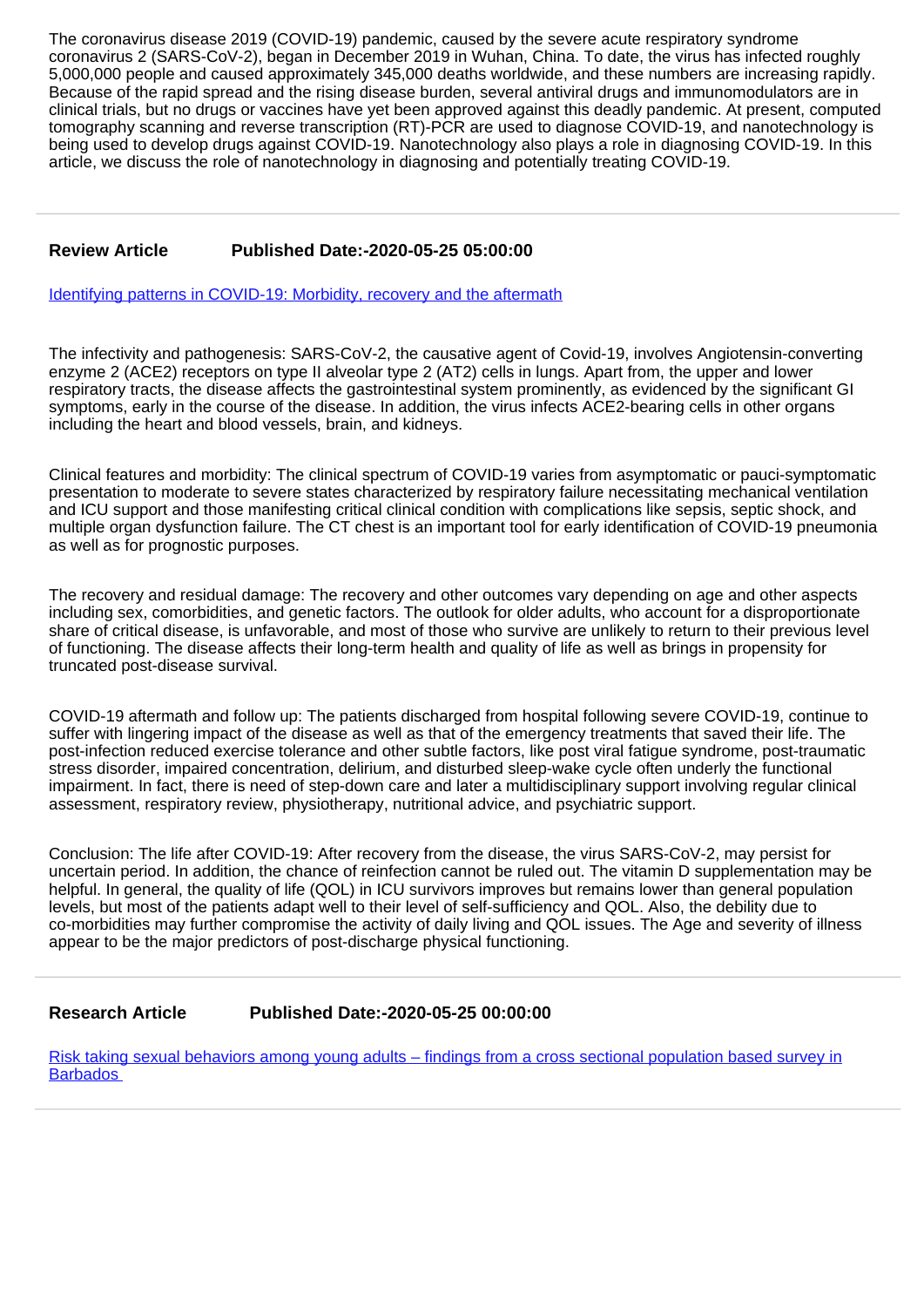The coronavirus disease 2019 (COVID-19) pandemic, caused by the severe acute respiratory syndrome coronavirus 2 (SARS-CoV-2), began in December 2019 in Wuhan, China. To date, the virus has infected roughly 5,000,000 people and caused approximately 345,000 deaths worldwide, and these numbers are increasing rapidly. Because of the rapid spread and the rising disease burden, several antiviral drugs and immunomodulators are in clinical trials, but no drugs or vaccines have yet been approved against this deadly pandemic. At present, computed tomography scanning and reverse transcription (RT)-PCR are used to diagnose COVID-19, and nanotechnology is being used to develop drugs against COVID-19. Nanotechnology also plays a role in diagnosing COVID-19. In this article, we discuss the role of nanotechnology in diagnosing and potentially treating COVID-19.

## **Review Article Published Date:-2020-05-25 05:00:00**

[Identifying patterns in COVID-19: Morbidity, recovery and the aftermath](https://www.clinvirologyjournal.com/articles/ijcv-aid1016.pdf)

The infectivity and pathogenesis: SARS-CoV-2, the causative agent of Covid-19, involves Angiotensin-converting enzyme 2 (ACE2) receptors on type II alveolar type 2 (AT2) cells in lungs. Apart from, the upper and lower respiratory tracts, the disease affects the gastrointestinal system prominently, as evidenced by the significant GI symptoms, early in the course of the disease. In addition, the virus infects ACE2-bearing cells in other organs including the heart and blood vessels, brain, and kidneys.

Clinical features and morbidity: The clinical spectrum of COVID-19 varies from asymptomatic or pauci-symptomatic presentation to moderate to severe states characterized by respiratory failure necessitating mechanical ventilation and ICU support and those manifesting critical clinical condition with complications like sepsis, septic shock, and multiple organ dysfunction failure. The CT chest is an important tool for early identification of COVID-19 pneumonia as well as for prognostic purposes.

The recovery and residual damage: The recovery and other outcomes vary depending on age and other aspects including sex, comorbidities, and genetic factors. The outlook for older adults, who account for a disproportionate share of critical disease, is unfavorable, and most of those who survive are unlikely to return to their previous level of functioning. The disease affects their long-term health and quality of life as well as brings in propensity for truncated post-disease survival.

COVID-19 aftermath and follow up: The patients discharged from hospital following severe COVID-19, continue to suffer with lingering impact of the disease as well as that of the emergency treatments that saved their life. The post-infection reduced exercise tolerance and other subtle factors, like post viral fatigue syndrome, post-traumatic stress disorder, impaired concentration, delirium, and disturbed sleep-wake cycle often underly the functional impairment. In fact, there is need of step-down care and later a multidisciplinary support involving regular clinical assessment, respiratory review, physiotherapy, nutritional advice, and psychiatric support.

Conclusion: The life after COVID-19: After recovery from the disease, the virus SARS-CoV-2, may persist for uncertain period. In addition, the chance of reinfection cannot be ruled out. The vitamin D supplementation may be helpful. In general, the quality of life (QOL) in ICU survivors improves but remains lower than general population levels, but most of the patients adapt well to their level of self-sufficiency and QOL. Also, the debility due to co-morbidities may further compromise the activity of daily living and QOL issues. The Age and severity of illness appear to be the major predictors of post-discharge physical functioning.

## **Research Article Published Date:-2020-05-25 00:00:00**

[Risk taking sexual behaviors among young adults – findings from a cross sectional population based survey in](https://www.clinvirologyjournal.com/articles/ijcv-aid1015.pdf) **Barbados**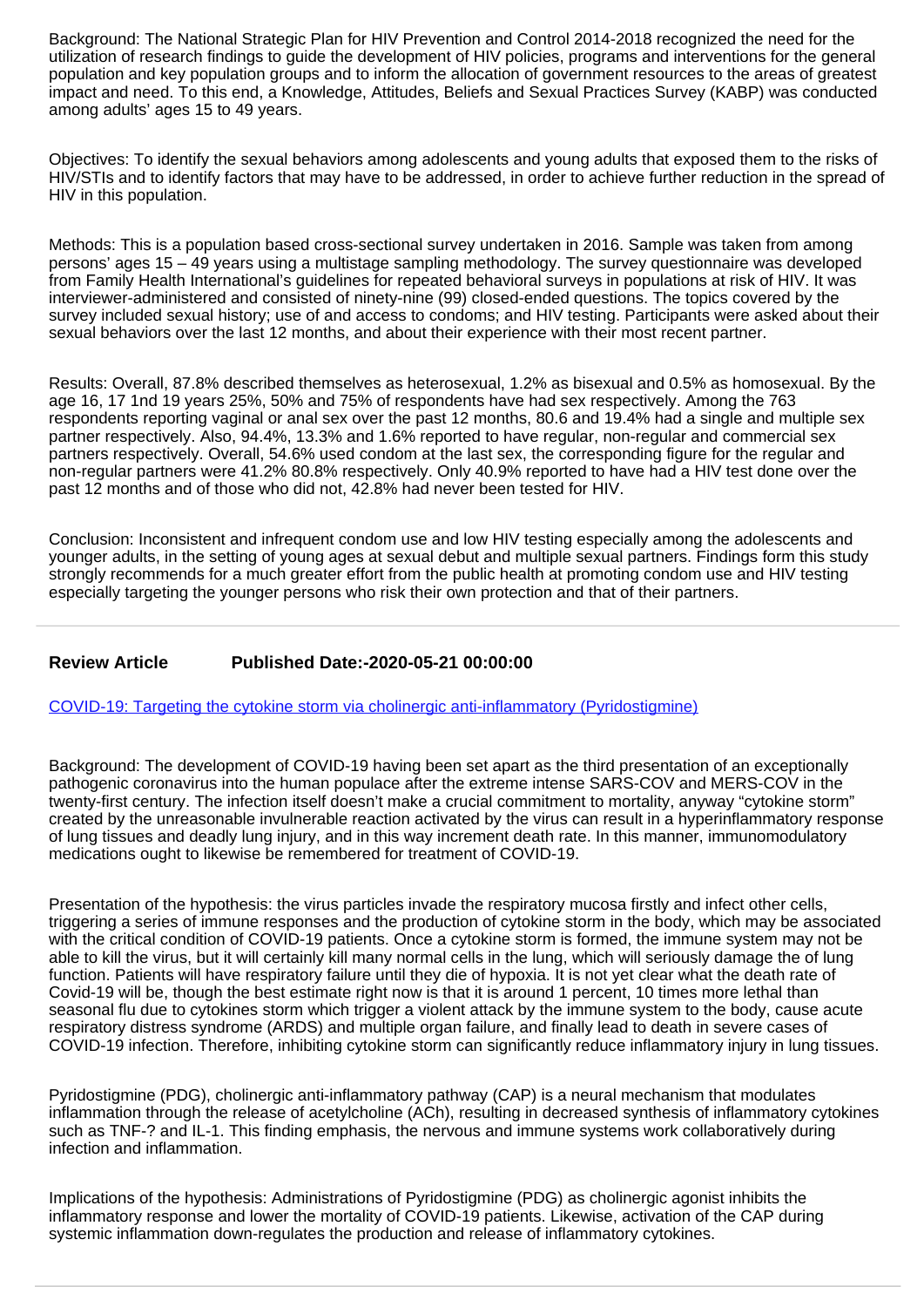Background: The National Strategic Plan for HIV Prevention and Control 2014-2018 recognized the need for the utilization of research findings to guide the development of HIV policies, programs and interventions for the general population and key population groups and to inform the allocation of government resources to the areas of greatest impact and need. To this end, a Knowledge, Attitudes, Beliefs and Sexual Practices Survey (KABP) was conducted among adults' ages 15 to 49 years.

Objectives: To identify the sexual behaviors among adolescents and young adults that exposed them to the risks of HIV/STIs and to identify factors that may have to be addressed, in order to achieve further reduction in the spread of HIV in this population.

Methods: This is a population based cross-sectional survey undertaken in 2016. Sample was taken from among persons' ages 15 – 49 years using a multistage sampling methodology. The survey questionnaire was developed from Family Health International's guidelines for repeated behavioral surveys in populations at risk of HIV. It was interviewer-administered and consisted of ninety-nine (99) closed-ended questions. The topics covered by the survey included sexual history; use of and access to condoms; and HIV testing. Participants were asked about their sexual behaviors over the last 12 months, and about their experience with their most recent partner.

Results: Overall, 87.8% described themselves as heterosexual, 1.2% as bisexual and 0.5% as homosexual. By the age 16, 17 1nd 19 years 25%, 50% and 75% of respondents have had sex respectively. Among the 763 respondents reporting vaginal or anal sex over the past 12 months, 80.6 and 19.4% had a single and multiple sex partner respectively. Also, 94.4%, 13.3% and 1.6% reported to have regular, non-regular and commercial sex partners respectively. Overall, 54.6% used condom at the last sex, the corresponding figure for the regular and non-regular partners were 41.2% 80.8% respectively. Only 40.9% reported to have had a HIV test done over the past 12 months and of those who did not, 42.8% had never been tested for HIV.

Conclusion: Inconsistent and infrequent condom use and low HIV testing especially among the adolescents and younger adults, in the setting of young ages at sexual debut and multiple sexual partners. Findings form this study strongly recommends for a much greater effort from the public health at promoting condom use and HIV testing especially targeting the younger persons who risk their own protection and that of their partners.

## **Review Article Published Date:-2020-05-21 00:00:00**

[COVID-19: Targeting the cytokine storm via cholinergic anti-inflammatory \(Pyridostigmine\)](https://www.clinvirologyjournal.com/articles/ijcv-aid1014.pdf)

Background: The development of COVID-19 having been set apart as the third presentation of an exceptionally pathogenic coronavirus into the human populace after the extreme intense SARS-COV and MERS-COV in the twenty-first century. The infection itself doesn't make a crucial commitment to mortality, anyway "cytokine storm" created by the unreasonable invulnerable reaction activated by the virus can result in a hyperinflammatory response of lung tissues and deadly lung injury, and in this way increment death rate. In this manner, immunomodulatory medications ought to likewise be remembered for treatment of COVID-19.

Presentation of the hypothesis: the virus particles invade the respiratory mucosa firstly and infect other cells, triggering a series of immune responses and the production of cytokine storm in the body, which may be associated with the critical condition of COVID-19 patients. Once a cytokine storm is formed, the immune system may not be able to kill the virus, but it will certainly kill many normal cells in the lung, which will seriously damage the of lung function. Patients will have respiratory failure until they die of hypoxia. It is not yet clear what the death rate of Covid-19 will be, though the best estimate right now is that it is around 1 percent, 10 times more lethal than seasonal flu due to cytokines storm which trigger a violent attack by the immune system to the body, cause acute respiratory distress syndrome (ARDS) and multiple organ failure, and finally lead to death in severe cases of COVID-19 infection. Therefore, inhibiting cytokine storm can significantly reduce inflammatory injury in lung tissues.

Pyridostigmine (PDG), cholinergic anti-inflammatory pathway (CAP) is a neural mechanism that modulates inflammation through the release of acetylcholine (ACh), resulting in decreased synthesis of inflammatory cytokines such as TNF-? and IL-1. This finding emphasis, the nervous and immune systems work collaboratively during infection and inflammation.

Implications of the hypothesis: Administrations of Pyridostigmine (PDG) as cholinergic agonist inhibits the inflammatory response and lower the mortality of COVID-19 patients. Likewise, activation of the CAP during systemic inflammation down-regulates the production and release of inflammatory cytokines.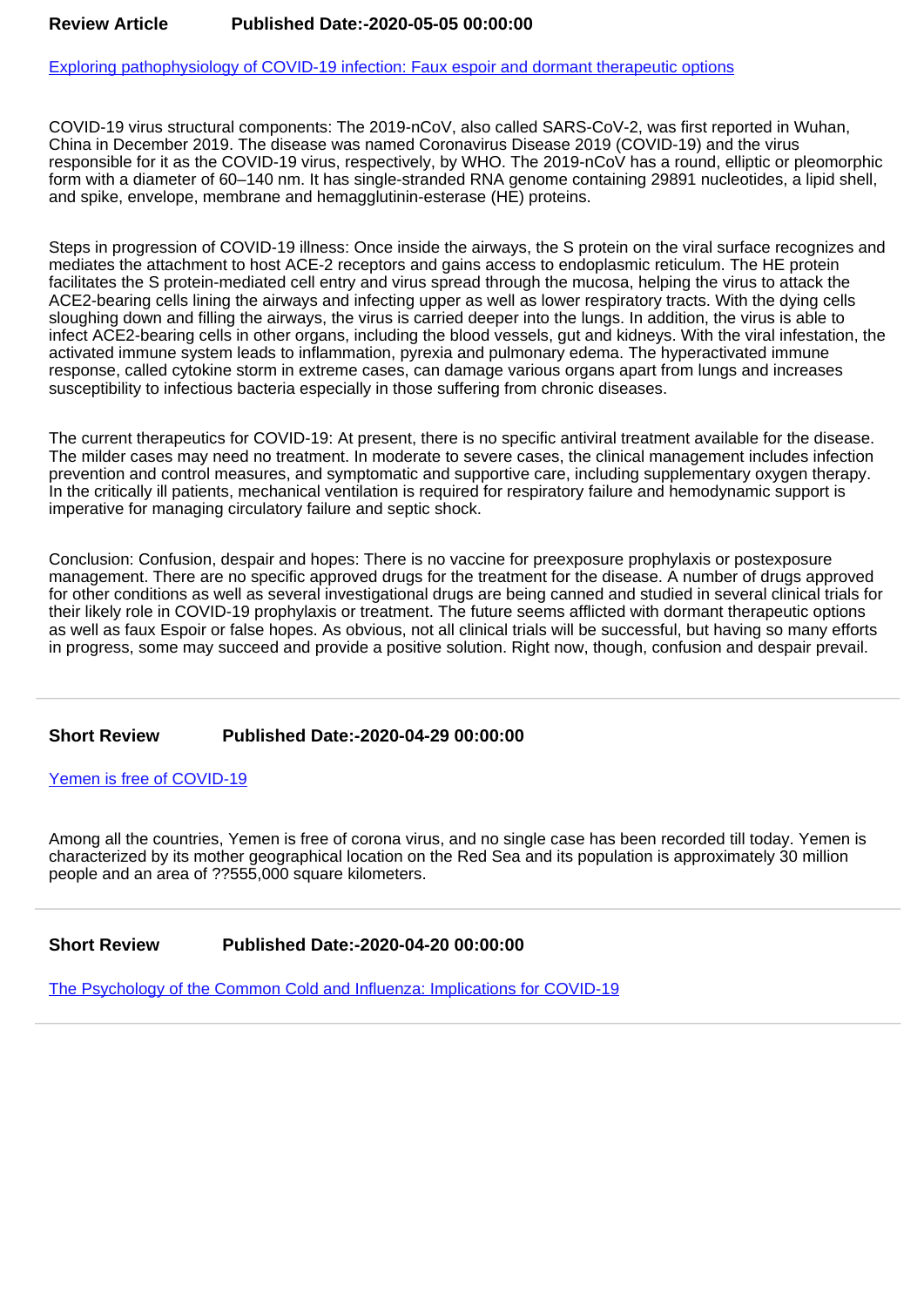[Exploring pathophysiology of COVID-19 infection: Faux espoir and dormant therapeutic options](https://www.clinvirologyjournal.com/articles/ijcv-aid1013.pdf)

COVID-19 virus structural components: The 2019-nCoV, also called SARS-CoV-2, was first reported in Wuhan, China in December 2019. The disease was named Coronavirus Disease 2019 (COVID-19) and the virus responsible for it as the COVID-19 virus, respectively, by WHO. The 2019-nCoV has a round, elliptic or pleomorphic form with a diameter of 60–140 nm. It has single-stranded RNA genome containing 29891 nucleotides, a lipid shell, and spike, envelope, membrane and hemagglutinin-esterase (HE) proteins.

Steps in progression of COVID-19 illness: Once inside the airways, the S protein on the viral surface recognizes and mediates the attachment to host ACE-2 receptors and gains access to endoplasmic reticulum. The HE protein facilitates the S protein-mediated cell entry and virus spread through the mucosa, helping the virus to attack the ACE2-bearing cells lining the airways and infecting upper as well as lower respiratory tracts. With the dying cells sloughing down and filling the airways, the virus is carried deeper into the lungs. In addition, the virus is able to infect ACE2-bearing cells in other organs, including the blood vessels, gut and kidneys. With the viral infestation, the activated immune system leads to inflammation, pyrexia and pulmonary edema. The hyperactivated immune response, called cytokine storm in extreme cases, can damage various organs apart from lungs and increases susceptibility to infectious bacteria especially in those suffering from chronic diseases.

The current therapeutics for COVID-19: At present, there is no specific antiviral treatment available for the disease. The milder cases may need no treatment. In moderate to severe cases, the clinical management includes infection prevention and control measures, and symptomatic and supportive care, including supplementary oxygen therapy. In the critically ill patients, mechanical ventilation is required for respiratory failure and hemodynamic support is imperative for managing circulatory failure and septic shock.

Conclusion: Confusion, despair and hopes: There is no vaccine for preexposure prophylaxis or postexposure management. There are no specific approved drugs for the treatment for the disease. A number of drugs approved for other conditions as well as several investigational drugs are being canned and studied in several clinical trials for their likely role in COVID-19 prophylaxis or treatment. The future seems afflicted with dormant therapeutic options as well as faux Espoir or false hopes. As obvious, not all clinical trials will be successful, but having so many efforts in progress, some may succeed and provide a positive solution. Right now, though, confusion and despair prevail.

#### **Short Review Published Date:-2020-04-29 00:00:00**

[Yemen is free of COVID-19](https://www.clinvirologyjournal.com/articles/ijcv-aid1012.pdf)

Among all the countries, Yemen is free of corona virus, and no single case has been recorded till today. Yemen is characterized by its mother geographical location on the Red Sea and its population is approximately 30 million people and an area of ??555,000 square kilometers.

## **Short Review Published Date:-2020-04-20 00:00:00**

[The Psychology of the Common Cold and Influenza: Implications for COVID-19](https://www.clinvirologyjournal.com/articles/ijcv-aid1011.pdf)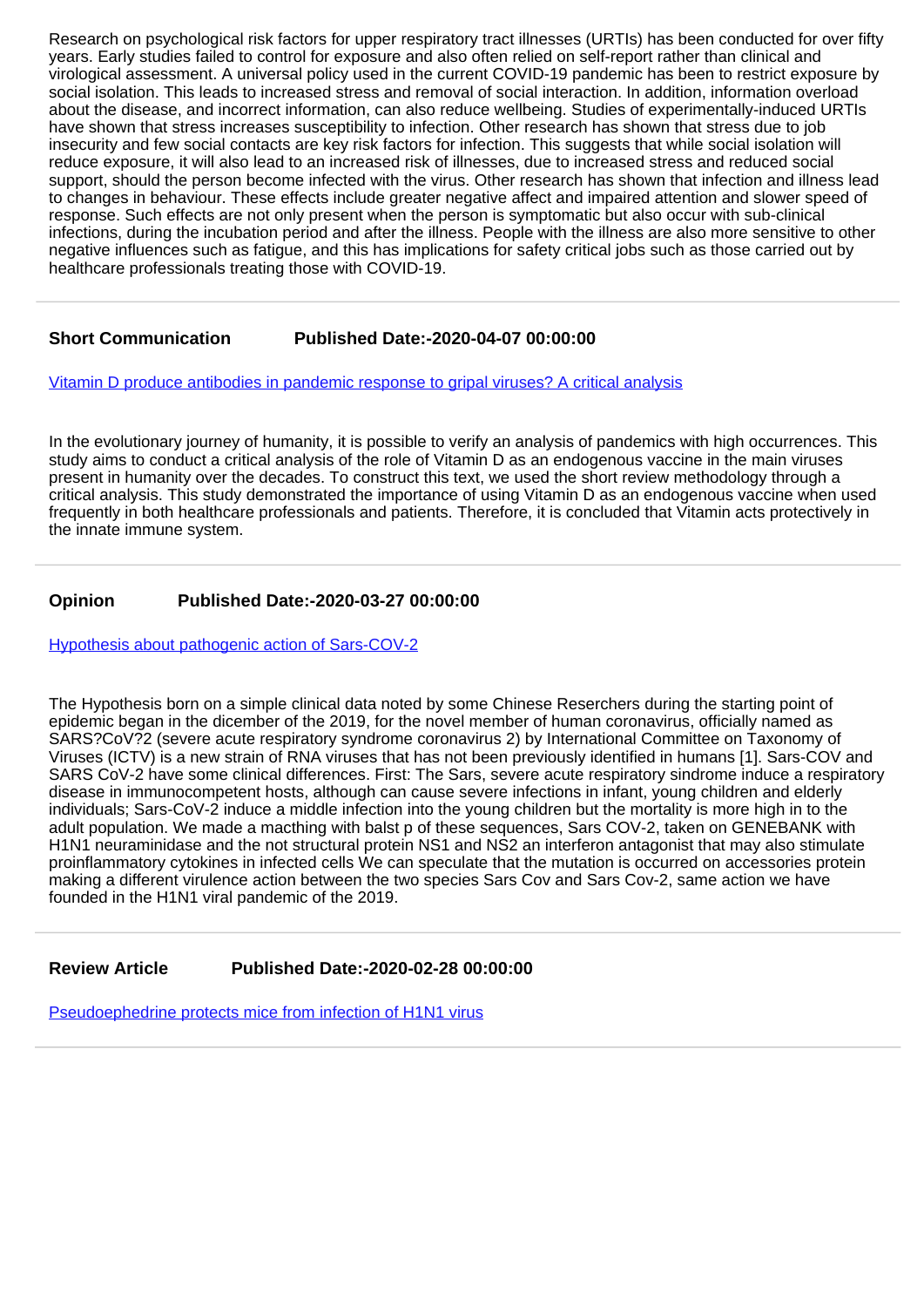Research on psychological risk factors for upper respiratory tract illnesses (URTIs) has been conducted for over fifty years. Early studies failed to control for exposure and also often relied on self-report rather than clinical and virological assessment. A universal policy used in the current COVID-19 pandemic has been to restrict exposure by social isolation. This leads to increased stress and removal of social interaction. In addition, information overload about the disease, and incorrect information, can also reduce wellbeing. Studies of experimentally-induced URTIs have shown that stress increases susceptibility to infection. Other research has shown that stress due to job insecurity and few social contacts are key risk factors for infection. This suggests that while social isolation will reduce exposure, it will also lead to an increased risk of illnesses, due to increased stress and reduced social support, should the person become infected with the virus. Other research has shown that infection and illness lead to changes in behaviour. These effects include greater negative affect and impaired attention and slower speed of response. Such effects are not only present when the person is symptomatic but also occur with sub-clinical infections, during the incubation period and after the illness. People with the illness are also more sensitive to other negative influences such as fatigue, and this has implications for safety critical jobs such as those carried out by healthcare professionals treating those with COVID-19.

## **Short Communication Published Date:-2020-04-07 00:00:00**

[Vitamin D produce antibodies in pandemic response to gripal viruses? A critical analysis](https://www.clinvirologyjournal.com/articles/ijcv-aid1010.pdf)

In the evolutionary journey of humanity, it is possible to verify an analysis of pandemics with high occurrences. This study aims to conduct a critical analysis of the role of Vitamin D as an endogenous vaccine in the main viruses present in humanity over the decades. To construct this text, we used the short review methodology through a critical analysis. This study demonstrated the importance of using Vitamin D as an endogenous vaccine when used frequently in both healthcare professionals and patients. Therefore, it is concluded that Vitamin acts protectively in the innate immune system.

## **Opinion Published Date:-2020-03-27 00:00:00**

[Hypothesis about pathogenic action of Sars-COV-2](https://www.clinvirologyjournal.com/articles/ijcv-aid1009.pdf)

The Hypothesis born on a simple clinical data noted by some Chinese Reserchers during the starting point of epidemic began in the dicember of the 2019, for the novel member of human coronavirus, officially named as SARS?CoV?2 (severe acute respiratory syndrome coronavirus 2) by International Committee on Taxonomy of Viruses (ICTV) is a new strain of RNA viruses that has not been previously identified in humans [1]. Sars-COV and SARS CoV-2 have some clinical differences. First: The Sars, severe acute respiratory sindrome induce a respiratory disease in immunocompetent hosts, although can cause severe infections in infant, young children and elderly individuals; Sars-CoV-2 induce a middle infection into the young children but the mortality is more high in to the adult population. We made a macthing with balst p of these sequences, Sars COV-2, taken on GENEBANK with H1N1 neuraminidase and the not structural protein NS1 and NS2 an interferon antagonist that may also stimulate proinflammatory cytokines in infected cells We can speculate that the mutation is occurred on accessories protein making a different virulence action between the two species Sars Cov and Sars Cov-2, same action we have founded in the H1N1 viral pandemic of the 2019.

**Review Article Published Date:-2020-02-28 00:00:00**

[Pseudoephedrine protects mice from infection of H1N1 virus](https://www.clinvirologyjournal.com/articles/ijcv-aid1008.pdf)